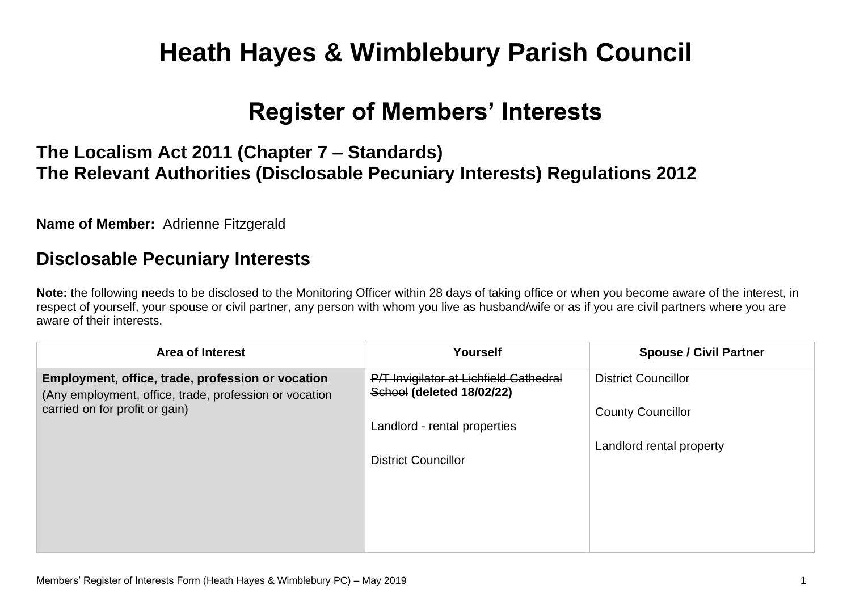# **Heath Hayes & Wimblebury Parish Council**

# **Register of Members' Interests**

## **The Localism Act 2011 (Chapter 7 – Standards) The Relevant Authorities (Disclosable Pecuniary Interests) Regulations 2012**

**Name of Member:** Adrienne Fitzgerald

#### **Disclosable Pecuniary Interests**

**Note:** the following needs to be disclosed to the Monitoring Officer within 28 days of taking office or when you become aware of the interest, in respect of yourself, your spouse or civil partner, any person with whom you live as husband/wife or as if you are civil partners where you are aware of their interests.

| <b>Area of Interest</b>                                                                                                                       | <b>Yourself</b>                                                     | <b>Spouse / Civil Partner</b> |
|-----------------------------------------------------------------------------------------------------------------------------------------------|---------------------------------------------------------------------|-------------------------------|
| Employment, office, trade, profession or vocation<br>(Any employment, office, trade, profession or vocation<br>carried on for profit or gain) | P/T Invigilator at Lichfield Cathedral<br>School (deleted 18/02/22) | <b>District Councillor</b>    |
|                                                                                                                                               |                                                                     | <b>County Councillor</b>      |
|                                                                                                                                               | Landlord - rental properties<br><b>District Councillor</b>          | Landlord rental property      |
|                                                                                                                                               |                                                                     |                               |
|                                                                                                                                               |                                                                     |                               |
|                                                                                                                                               |                                                                     |                               |
|                                                                                                                                               |                                                                     |                               |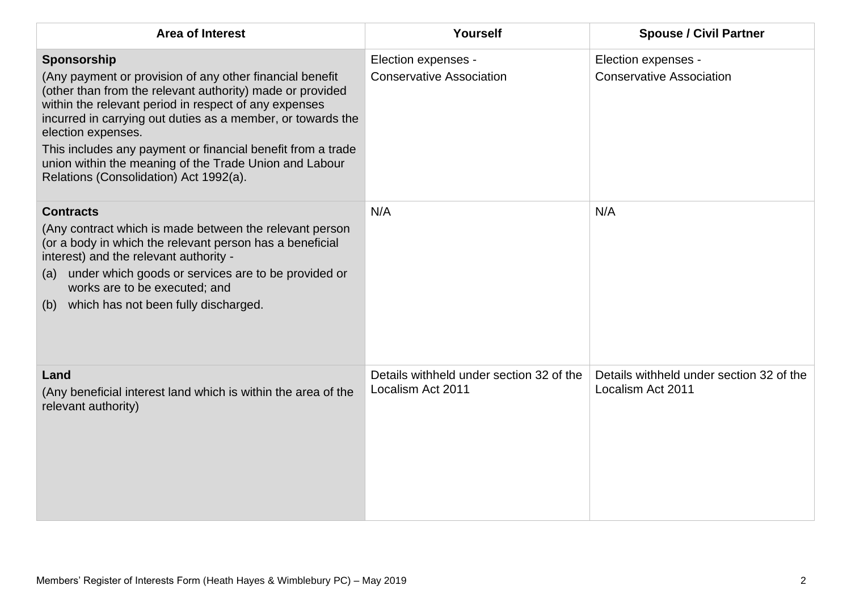| <b>Area of Interest</b>                                                                                                                                                                                                                                                                                                                                                                                                                               | Yourself                                                      | <b>Spouse / Civil Partner</b>                                 |
|-------------------------------------------------------------------------------------------------------------------------------------------------------------------------------------------------------------------------------------------------------------------------------------------------------------------------------------------------------------------------------------------------------------------------------------------------------|---------------------------------------------------------------|---------------------------------------------------------------|
| Sponsorship<br>(Any payment or provision of any other financial benefit<br>(other than from the relevant authority) made or provided<br>within the relevant period in respect of any expenses<br>incurred in carrying out duties as a member, or towards the<br>election expenses.<br>This includes any payment or financial benefit from a trade<br>union within the meaning of the Trade Union and Labour<br>Relations (Consolidation) Act 1992(a). | Election expenses -<br><b>Conservative Association</b>        | Election expenses -<br><b>Conservative Association</b>        |
| <b>Contracts</b><br>(Any contract which is made between the relevant person<br>(or a body in which the relevant person has a beneficial<br>interest) and the relevant authority -<br>under which goods or services are to be provided or<br>(a)<br>works are to be executed; and<br>which has not been fully discharged.<br>(b)                                                                                                                       | N/A                                                           | N/A                                                           |
| Land<br>(Any beneficial interest land which is within the area of the<br>relevant authority)                                                                                                                                                                                                                                                                                                                                                          | Details withheld under section 32 of the<br>Localism Act 2011 | Details withheld under section 32 of the<br>Localism Act 2011 |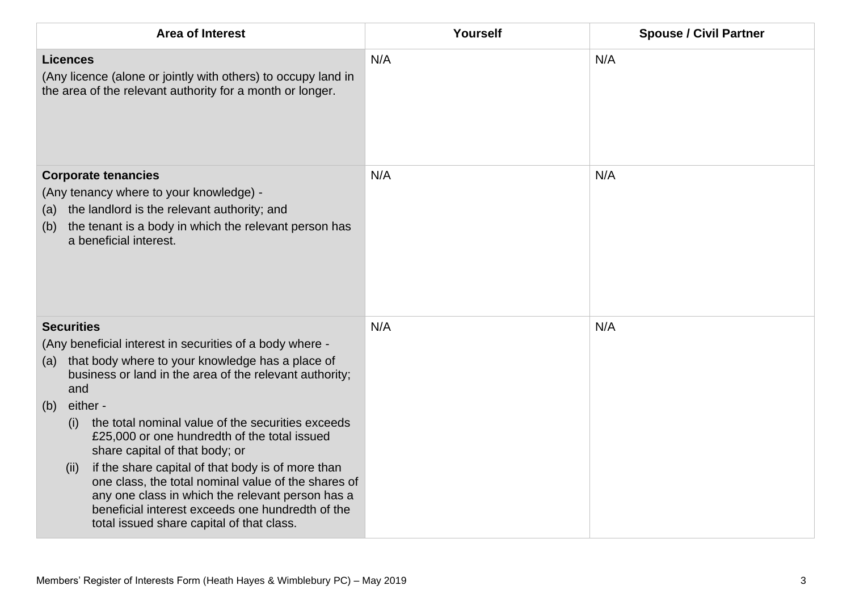| <b>Area of Interest</b>                                                                                                                                                                                                                                                                                                                                                                                                                                                                                                                                                                                                                              | Yourself | <b>Spouse / Civil Partner</b> |
|------------------------------------------------------------------------------------------------------------------------------------------------------------------------------------------------------------------------------------------------------------------------------------------------------------------------------------------------------------------------------------------------------------------------------------------------------------------------------------------------------------------------------------------------------------------------------------------------------------------------------------------------------|----------|-------------------------------|
| <b>Licences</b><br>(Any licence (alone or jointly with others) to occupy land in<br>the area of the relevant authority for a month or longer.                                                                                                                                                                                                                                                                                                                                                                                                                                                                                                        | N/A      | N/A                           |
| <b>Corporate tenancies</b><br>(Any tenancy where to your knowledge) -<br>the landlord is the relevant authority; and<br>(a)<br>the tenant is a body in which the relevant person has<br>(b)<br>a beneficial interest.                                                                                                                                                                                                                                                                                                                                                                                                                                | N/A      | N/A                           |
| <b>Securities</b><br>(Any beneficial interest in securities of a body where -<br>that body where to your knowledge has a place of<br>(a)<br>business or land in the area of the relevant authority;<br>and<br>either -<br>(b)<br>the total nominal value of the securities exceeds<br>(i)<br>£25,000 or one hundredth of the total issued<br>share capital of that body; or<br>if the share capital of that body is of more than<br>(ii)<br>one class, the total nominal value of the shares of<br>any one class in which the relevant person has a<br>beneficial interest exceeds one hundredth of the<br>total issued share capital of that class. | N/A      | N/A                           |